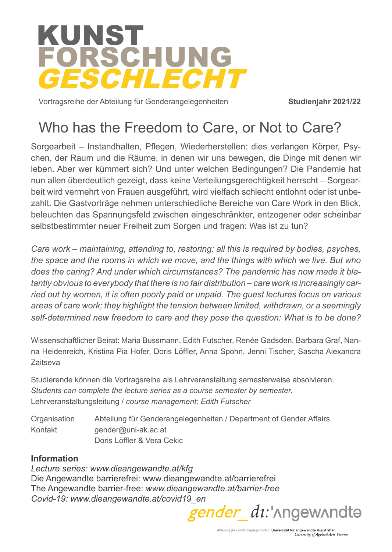

Vortragsreihe der Abteilung für Genderangelegenheiten

**Studienjahr 2021/22**

# Who has the Freedom to Care, or Not to Care?

Sorgearbeit – Instandhalten, Pflegen, Wiederherstellen: dies verlangen Körper, Psychen, der Raum und die Räume, in denen wir uns bewegen, die Dinge mit denen wir leben. Aber wer kümmert sich? Und unter welchen Bedingungen? Die Pandemie hat nun allen überdeutlich gezeigt, dass keine Verteilungsgerechtigkeit herrscht – Sorgearbeit wird vermehrt von Frauen ausgeführt, wird vielfach schlecht entlohnt oder ist unbezahlt. Die Gastvorträge nehmen unterschiedliche Bereiche von Care Work in den Blick, beleuchten das Spannungsfeld zwischen eingeschränkter, entzogener oder scheinbar selbstbestimmter neuer Freiheit zum Sorgen und fragen: Was ist zu tun?

*Care work – maintaining, attending to, restoring: all this is required by bodies, psyches, the space and the rooms in which we move, and the things with which we live. But who does the caring? And under which circumstances? The pandemic has now made it blatantly obvious to everybody that there is no fair distribution – care work is increasingly carried out by women, it is often poorly paid or unpaid. The guest lectures focus on various areas of care work; they highlight the tension between limited, withdrawn, or a seemingly self-determined new freedom to care and they pose the question: What is to be done?* 

Wissenschaftlicher Beirat: Maria Bussmann, Edith Futscher, Renée Gadsden, Barbara Graf, Nanna Heidenreich, Kristina Pia Hofer, Doris Löffler, Anna Spohn, Jenni Tischer, Sascha Alexandra Zaitseva

Studierende können die Vortragsreihe als Lehrveranstaltung semesterweise absolvieren. *Students can complete the lecture series as a course semester by semester.*  Lehrveranstaltungsleitung / *course management: Edith Futscher*

Organisation Abteilung für Genderangelegenheiten / Department of Gender Affairs Kontakt gender@uni-ak.ac.at Doris Löffler & Vera Cekic

#### **Information**

*Lecture series: www.dieangewandte.at/kfg* Die Angewandte barrierefrei: www.dieangewandte.at/barrierefrei The Angewandte barrier-free: *www.dieangewandte.at/barrier-free*

*Covid-19: www.dieangewandte.at/covid19\_en*